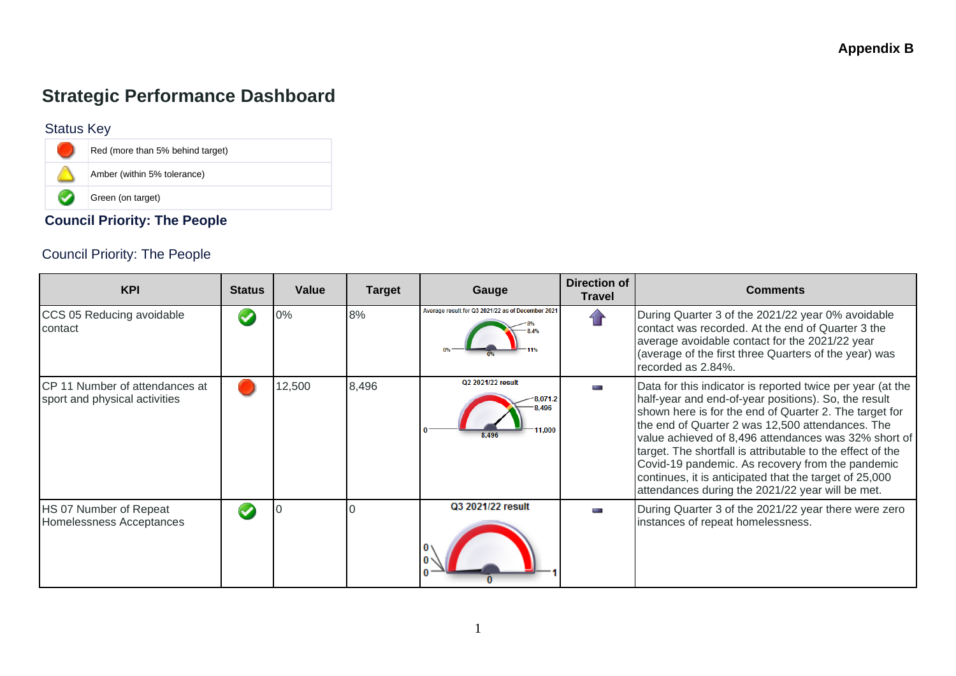# **Strategic Performance Dashboard**

#### Status Key

L.



### **Council Priority: The People**

### Council Priority: The People

| <b>KPI</b>                                                             | <b>Status</b> | Value  | <b>Target</b> | Gauge                                             | <b>Direction of</b><br>Travel | <b>Comments</b>                                                                                                                                                                                                                                                                                                                                                                                                                                                                                                          |
|------------------------------------------------------------------------|---------------|--------|---------------|---------------------------------------------------|-------------------------------|--------------------------------------------------------------------------------------------------------------------------------------------------------------------------------------------------------------------------------------------------------------------------------------------------------------------------------------------------------------------------------------------------------------------------------------------------------------------------------------------------------------------------|
| CCS 05 Reducing avoidable<br>contact                                   |               | 0%     | 8%            | Average result for Q3 2021/22 as of December 2021 |                               | During Quarter 3 of the 2021/22 year 0% avoidable<br>contact was recorded. At the end of Quarter 3 the<br>average avoidable contact for the 2021/22 year<br>(average of the first three Quarters of the year) was<br>recorded as 2.84%.                                                                                                                                                                                                                                                                                  |
| <b>CP</b> 11 Number of attendances at<br>sport and physical activities |               | 12,500 | 8,496         | Q2 2021/22 result<br>8.496                        |                               | Data for this indicator is reported twice per year (at the<br>half-year and end-of-year positions). So, the result<br>shown here is for the end of Quarter 2. The target for<br>the end of Quarter 2 was 12,500 attendances. The<br>value achieved of 8,496 attendances was 32% short of<br>target. The shortfall is attributable to the effect of the<br>Covid-19 pandemic. As recovery from the pandemic<br>continues, it is anticipated that the target of 25,000<br>attendances during the 2021/22 year will be met. |
| HS 07 Number of Repeat<br>Homelessness Acceptances                     |               |        |               | Q3 2021/22 result                                 |                               | During Quarter 3 of the 2021/22 year there were zero<br>instances of repeat homelessness.                                                                                                                                                                                                                                                                                                                                                                                                                                |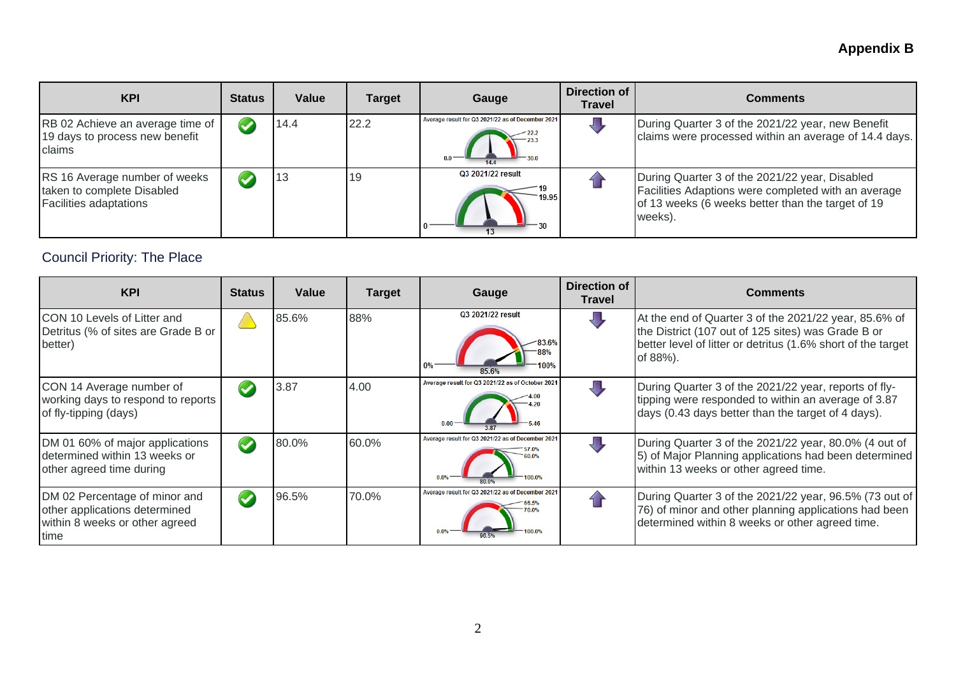# **Appendix B**

| <b>KPI</b>                                                                                   | <b>Status</b> | Value | <b>Target</b> | Gauge                                             | Direction of<br><b>Travel</b> | Comments                                                                                                                                                              |
|----------------------------------------------------------------------------------------------|---------------|-------|---------------|---------------------------------------------------|-------------------------------|-----------------------------------------------------------------------------------------------------------------------------------------------------------------------|
| RB 02 Achieve an average time of<br>19 days to process new benefit<br>claims                 |               | 14.4  | 22.2          | Average result for Q3 2021/22 as of December 2021 |                               | During Quarter 3 of the 2021/22 year, new Benefit<br>claims were processed within an average of 14.4 days.                                                            |
| RS 16 Average number of weeks<br>taken to complete Disabled<br><b>Facilities adaptations</b> |               | 13    | 19            | Q3 2021/22 result<br>19.95                        |                               | During Quarter 3 of the 2021/22 year, Disabled<br>Facilities Adaptions were completed with an average<br>of 13 weeks (6 weeks better than the target of 19<br>weeks). |

## Council Priority: The Place

| <b>KPI</b>                                                                                               | <b>Status</b> | Value | <b>Target</b> | Gauge                                            | <b>Direction of</b><br>Travel | <b>Comments</b>                                                                                                                                                                            |
|----------------------------------------------------------------------------------------------------------|---------------|-------|---------------|--------------------------------------------------|-------------------------------|--------------------------------------------------------------------------------------------------------------------------------------------------------------------------------------------|
| ICON 10 Levels of Litter and<br>Detritus (% of sites are Grade B or<br>better)                           |               | 85.6% | 88%           | Q3 2021/22 result                                |                               | At the end of Quarter 3 of the 2021/22 year, 85.6% of<br>the District (107 out of 125 sites) was Grade B or<br>better level of litter or detritus (1.6% short of the target<br>of $88%$ ). |
| CON 14 Average number of<br>working days to respond to reports<br>of fly-tipping (days)                  |               | 3.87  | 4.00          | Average result for Q3 2021/22 as of October 202  |                               | During Quarter 3 of the 2021/22 year, reports of fly-<br>tipping were responded to within an average of 3.87<br>days (0.43 days better than the target of 4 days).                         |
| DM 01 60% of major applications<br>determined within 13 weeks or<br>other agreed time during             |               | 80.0% | 60.0%         | Average result for Q3 2021/22 as of December 202 |                               | During Quarter 3 of the 2021/22 year, 80.0% (4 out of<br>5) of Major Planning applications had been determined<br>within 13 weeks or other agreed time.                                    |
| DM 02 Percentage of minor and<br>other applications determined<br>within 8 weeks or other agreed<br>time |               | 96.5% | 70.0%         | Average result for Q3 2021/22 as of December 202 |                               | During Quarter 3 of the 2021/22 year, 96.5% (73 out of<br>76) of minor and other planning applications had been<br>determined within 8 weeks or other agreed time.                         |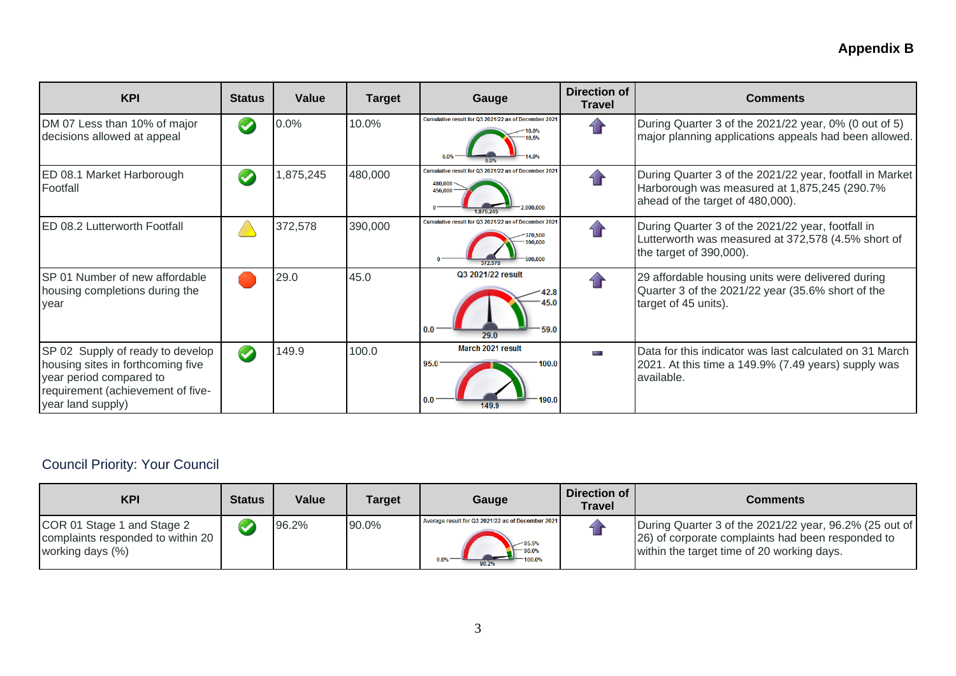## **Appendix B**

| <b>KPI</b>                                                                                                                                                 | <b>Status</b>         | Value    | <b>Target</b> | Gauge                                                                                                 | Direction of<br><b>Travel</b>      | <b>Comments</b>                                                                                                                              |
|------------------------------------------------------------------------------------------------------------------------------------------------------------|-----------------------|----------|---------------|-------------------------------------------------------------------------------------------------------|------------------------------------|----------------------------------------------------------------------------------------------------------------------------------------------|
| DM 07 Less than 10% of major<br>decisions allowed at appeal                                                                                                | $\blacktriangleright$ | 0.0%     | 10.0%         | Cumulative result for Q3 2021/22 as of December 2021<br>0.5%                                          | $\left\langle \cdot \right\rangle$ | During Quarter 3 of the 2021/22 year, 0% (0 out of 5)<br>major planning applications appeals had been allowed.                               |
| ED 08.1 Market Harborough<br>Footfall                                                                                                                      | $\blacktriangledown$  | ,875,245 | 480,000       | Cumulative result for Q3 2021/22 as of December 2021<br>480.000<br>456,000<br>$-2.000.000$<br>875 245 |                                    | During Quarter 3 of the 2021/22 year, footfall in Market<br>Harborough was measured at 1,875,245 (290.7%<br>ahead of the target of 480,000). |
| <b>ED 08.2 Lutterworth Footfall</b>                                                                                                                        |                       | 372,578  | 390,000       | Cumulative result for Q3 2021/22 as of December 2021<br>390,000                                       |                                    | During Quarter 3 of the 2021/22 year, footfall in<br>Lutterworth was measured at 372,578 (4.5% short of<br>the target of 390,000).           |
| SP 01 Number of new affordable<br>housing completions during the<br>year                                                                                   |                       | 29.0     | 45.0          | Q3 2021/22 result<br>59.0<br>0.0<br>29.0                                                              |                                    | 29 affordable housing units were delivered during<br>Quarter 3 of the 2021/22 year (35.6% short of the<br>target of 45 units).               |
| SP 02 Supply of ready to develop<br>housing sites in forthcoming five<br>year period compared to<br>requirement (achievement of five-<br>year land supply) | $\bullet$             | 149.9    | 100.0         | March 2021 result<br>95.0<br>100.0<br>190.0<br>0.0<br>149.9                                           | and the                            | Data for this indicator was last calculated on 31 March<br>2021. At this time a 149.9% (7.49 years) supply was<br>available.                 |

## Council Priority: Your Council

| <b>KPI</b>                                                                          | <b>Status</b> | <b>Value</b> | Target | Gauge                                                                                          | Direction of<br><b>Travel</b> | Comments                                                                                                                                                   |
|-------------------------------------------------------------------------------------|---------------|--------------|--------|------------------------------------------------------------------------------------------------|-------------------------------|------------------------------------------------------------------------------------------------------------------------------------------------------------|
| COR 01 Stage 1 and Stage 2<br>complaints responded to within 20<br>working days (%) |               | 96.2%        | 90.0%  | Average result for Q3 2021/22 as of December 2021<br>$-85.5%$<br>$-90.0%$<br>0.0%<br>$-100.0%$ |                               | During Quarter 3 of the 2021/22 year, 96.2% (25 out of<br>(26) of corporate complaints had been responded to<br>within the target time of 20 working days. |